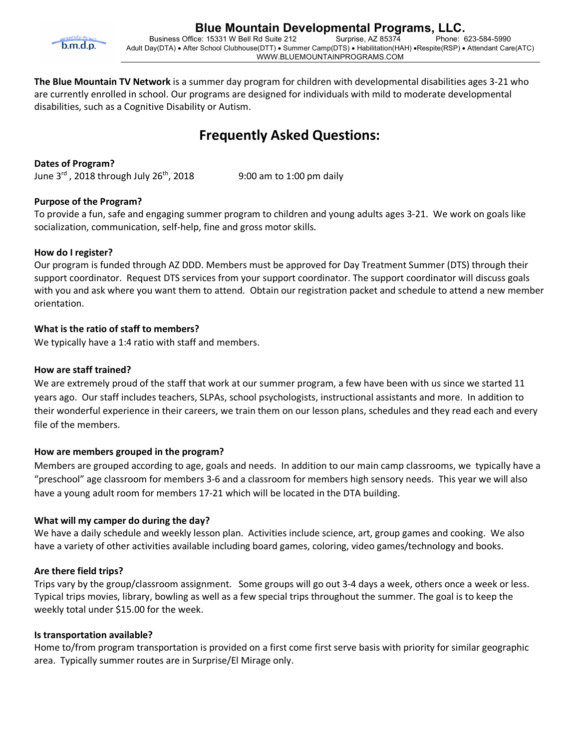

**The Blue Mountain TV Network** is a summer day program for children with developmental disabilities ages 3-21 who are currently enrolled in school. Our programs are designed for individuals with mild to moderate developmental disabilities, such as a Cognitive Disability or Autism.

# **Frequently Asked Questions:**

# **Dates of Program?**

June  $3<sup>rd</sup>$ , 2018 through July 26<sup>th</sup>, 2018 9:00 am to 1:00 pm daily

# **Purpose of the Program?**

To provide a fun, safe and engaging summer program to children and young adults ages 3-21. We work on goals like socialization, communication, self-help, fine and gross motor skills.

# **How do I register?**

Our program is funded through AZ DDD. Members must be approved for Day Treatment Summer (DTS) through their support coordinator. Request DTS services from your support coordinator. The support coordinator will discuss goals with you and ask where you want them to attend. Obtain our registration packet and schedule to attend a new member orientation.

# **What is the ratio of staff to members?**

We typically have a 1:4 ratio with staff and members.

# **How are staff trained?**

We are extremely proud of the staff that work at our summer program, a few have been with us since we started 11 years ago. Our staff includes teachers, SLPAs, school psychologists, instructional assistants and more. In addition to their wonderful experience in their careers, we train them on our lesson plans, schedules and they read each and every file of the members.

# **How are members grouped in the program?**

Members are grouped according to age, goals and needs. In addition to our main camp classrooms, we typically have a "preschool" age classroom for members 3-6 and a classroom for members high sensory needs. This year we will also have a young adult room for members 17-21 which will be located in the DTA building.

#### **What will my camper do during the day?**

We have a daily schedule and weekly lesson plan. Activities include science, art, group games and cooking. We also have a variety of other activities available including board games, coloring, video games/technology and books.

#### **Are there field trips?**

Trips vary by the group/classroom assignment. Some groups will go out 3-4 days a week, others once a week or less. Typical trips movies, library, bowling as well as a few special trips throughout the summer. The goal is to keep the weekly total under \$15.00 for the week.

#### **Is transportation available?**

Home to/from program transportation is provided on a first come first serve basis with priority for similar geographic area. Typically summer routes are in Surprise/El Mirage only.